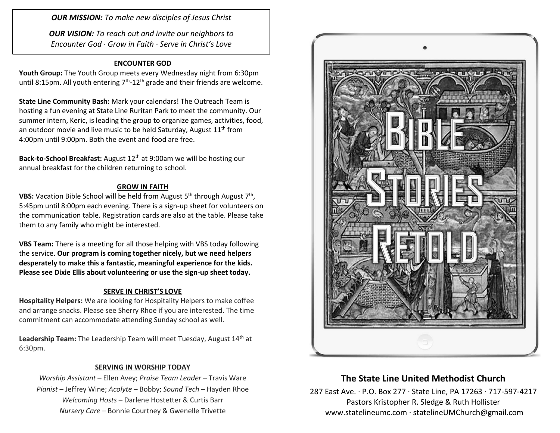*OUR MISSION: To make new disciples of Jesus Christ*

*OUR VISION: To reach out and invite our neighbors to Encounter God · Grow in Faith · Serve in Christ's Love*

### **ENCOUNTER GOD**

**Youth Group:** The Youth Group meets every Wednesday night from 6:30pm until 8:15pm. All youth entering  $7<sup>th</sup>$ -12<sup>th</sup> grade and their friends are welcome.

**State Line Community Bash:** Mark your calendars! The Outreach Team is hosting a fun evening at State Line Ruritan Park to meet the community. Our summer intern, Keric, is leading the group to organize games, activities, food, an outdoor movie and live music to be held Saturday, August  $11<sup>th</sup>$  from 4:00pm until 9:00pm. Both the event and food are free.

**Back-to-School Breakfast:** August 12th at 9:00am we will be hosting our annual breakfast for the children returning to school.

#### **GROW IN FAITH**

**VBS:** Vacation Bible School will be held from August 5<sup>th</sup> through August 7<sup>th</sup>, 5:45pm until 8:00pm each evening. There is a sign-up sheet for volunteers on the communication table. Registration cards are also at the table. Please take them to any family who might be interested.

**VBS Team:** There is a meeting for all those helping with VBS today following the service. **Our program is coming together nicely, but we need helpers desperately to make this a fantastic, meaningful experience for the kids. Please see Dixie Ellis about volunteering or use the sign-up sheet today.**

#### **SERVE IN CHRIST'S LOVE**

**Hospitality Helpers:** We are looking for Hospitality Helpers to make coffee and arrange snacks. Please see Sherry Rhoe if you are interested. The time commitment can accommodate attending Sunday school as well.

Leadership Team: The Leadership Team will meet Tuesday, August 14<sup>th</sup> at 6:30pm.

### **SERVING IN WORSHIP TODAY**

*Worship Assistant* – Ellen Avey; *Praise Team Leader* – Travis Ware *Pianist* – Jeffrey Wine; *Acolyte* – Bobby; *Sound Tech* – Hayden Rhoe *Welcoming Hosts* – Darlene Hostetter & Curtis Barr *Nursery Care* – Bonnie Courtney & Gwenelle Trivette



## **The State Line United Methodist Church**

287 East Ave. · P.O. Box 277 · State Line, PA 17263 · 717-597-4217 Pastors Kristopher R. Sledge & Ruth Hollister [www.statelineumc.com](http://www.statelineumc.com/) · statelineUMChurch@gmail.com